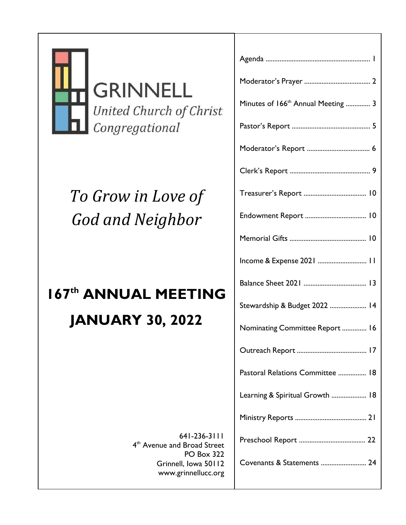

**GRINNELL** United Church of Christ Congregational

# *To Grow in Love of God and Neighbor*

# **167 th ANNUAL MEETING**

# **JANUARY 30, 2022**

641-236-3111 4<sup>th</sup> Avenue and Broad Street PO Box 322 Grinnell, Iowa 50112 www.grinnellucc.org

| Minutes of 166 <sup>th</sup> Annual Meeting  3 |
|------------------------------------------------|
|                                                |
|                                                |
|                                                |
|                                                |
|                                                |
|                                                |
| Income & Expense 2021  11                      |
|                                                |
| Stewardship & Budget 2022  14                  |
| Nominating Committee Report  16                |
|                                                |
| Pastoral Relations Committee  18               |
| Learning & Spiritual Growth  18                |
|                                                |
|                                                |
| Covenants & Statements  24                     |
|                                                |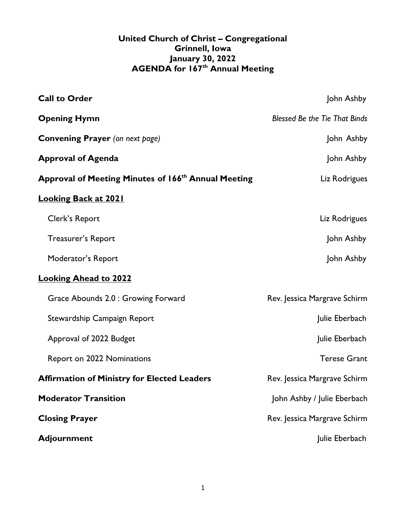### **United Church of Christ – Congregational Grinnell, Iowa January 30, 2022 AGENDA for 167th Annual Meeting**

| <b>Call to Order</b>                                            | John Ashby                           |
|-----------------------------------------------------------------|--------------------------------------|
| <b>Opening Hymn</b>                                             | <b>Blessed Be the Tie That Binds</b> |
| <b>Convening Prayer</b> (on next page)                          | John Ashby                           |
| <b>Approval of Agenda</b>                                       | John Ashby                           |
| Approval of Meeting Minutes of 166 <sup>th</sup> Annual Meeting | Liz Rodrigues                        |
| <b>Looking Back at 2021</b>                                     |                                      |
| Clerk's Report                                                  | Liz Rodrigues                        |
| <b>Treasurer's Report</b>                                       | John Ashby                           |
| Moderator's Report                                              | John Ashby                           |
| <b>Looking Ahead to 2022</b>                                    |                                      |
| Grace Abounds 2.0 : Growing Forward                             | Rev. Jessica Margrave Schirm         |
| Stewardship Campaign Report                                     | Julie Eberbach                       |
| Approval of 2022 Budget                                         | Julie Eberbach                       |
| Report on 2022 Nominations                                      | <b>Terese Grant</b>                  |
| <b>Affirmation of Ministry for Elected Leaders</b>              | Rev. Jessica Margrave Schirm         |
| <b>Moderator Transition</b>                                     | John Ashby / Julie Eberbach          |
| <b>Closing Prayer</b>                                           | Rev. Jessica Margrave Schirm         |
| <b>Adjournment</b>                                              | Julie Eberbach                       |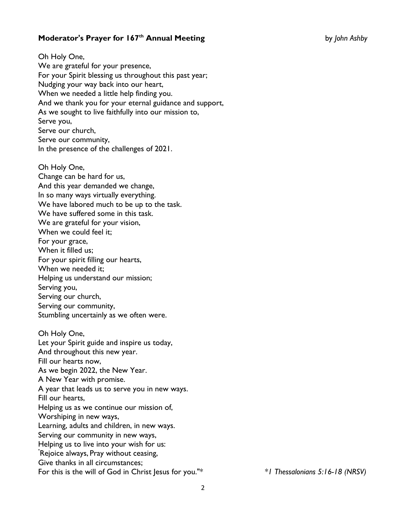### **Moderator's Prayer for 167th Annual Meeting** by *John Ashby*

Oh Holy One, We are grateful for your presence, For your Spirit blessing us throughout this past year; Nudging your way back into our heart, When we needed a little help finding you. And we thank you for your eternal guidance and support, As we sought to live faithfully into our mission to, Serve you, Serve our church, Serve our community, In the presence of the challenges of 2021.

Oh Holy One, Change can be hard for us, And this year demanded we change, In so many ways virtually everything. We have labored much to be up to the task. We have suffered some in this task. We are grateful for your vision, When we could feel it; For your grace, When it filled us; For your spirit filling our hearts, When we needed it; Helping us understand our mission; Serving you, Serving our church, Serving our community, Stumbling uncertainly as we often were. Oh Holy One, Let your Spirit guide and inspire us today, And throughout this new year. Fill our hearts now, As we begin 2022, the New Year. A New Year with promise. A year that leads us to serve you in new ways.

Fill our hearts,

Helping us as we continue our mission of,

Worshiping in new ways,

Learning, adults and children, in new ways.

Serving our community in new ways,

Helping us to live into your wish for us:

"Rejoice always, Pray without ceasing,

Give thanks in all circumstances;

For this is the will of God in Christ Jesus for you."\* *\*1 Thessalonians 5:16-18 (NRSV)*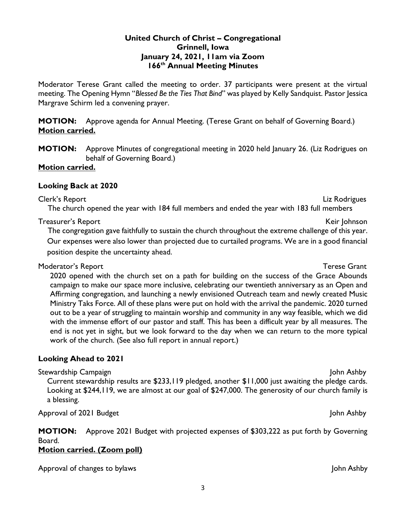### **United Church of Christ – Congregational Grinnell, Iowa January 24, 2021, 11am via Zoom 166th Annual Meeting Minutes**

Moderator Terese Grant called the meeting to order. 37 participants were present at the virtual meeting. The Opening Hymn "*Blessed Be the Ties That Bind*" was played by Kelly Sandquist. Pastor Jessica Margrave Schirm led a convening prayer.

**MOTION:** Approve agenda for Annual Meeting. (Terese Grant on behalf of Governing Board.) **Motion carried.**

**MOTION:** Approve Minutes of congregational meeting in 2020 held January 26. (Liz Rodrigues on behalf of Governing Board.)

### **Motion carried.**

### **Looking Back at 2020**

Clerk's Report Liz Rodrigues The church opened the year with 184 full members and ended the year with 183 full members

### Treasurer's Report New York 1998, and the set of the set of the set of the set of the set of the set of the set of the set of the set of the set of the set of the set of the set of the set of the set of the set of the set

The congregation gave faithfully to sustain the church throughout the extreme challenge of this year. Our expenses were also lower than projected due to curtailed programs. We are in a good financial position despite the uncertainty ahead.

### Moderator's Report Terese Grant

2020 opened with the church set on a path for building on the success of the Grace Abounds campaign to make our space more inclusive, celebrating our twentieth anniversary as an Open and Affirming congregation, and launching a newly envisioned Outreach team and newly created Music Ministry Taks Force. All of these plans were put on hold with the arrival the pandemic. 2020 turned out to be a year of struggling to maintain worship and community in any way feasible, which we did with the immense effort of our pastor and staff. This has been a difficult year by all measures. The end is not yet in sight, but we look forward to the day when we can return to the more typical work of the church. (See also full report in annual report.)

### **Looking Ahead to 2021**

Stewardship Campaign John Ashby

Current stewardship results are \$233,119 pledged, another \$11,000 just awaiting the pledge cards. Looking at \$244,119, we are almost at our goal of \$247,000. The generosity of our church family is a blessing.

Approval of 2021 Budget John Ashby John Ashby John Ashby John Ashby John Ashby John Ashby John Ashby John Ashby

**MOTION:** Approve 2021 Budget with projected expenses of \$303,222 as put forth by Governing Board.

### **Motion carried. (Zoom poll)**

Approval of changes to bylaws and the set of the set of the set of the set of the set of the set of the set of the set of the set of the set of the set of the set of the set of the set of the set of the set of the set of t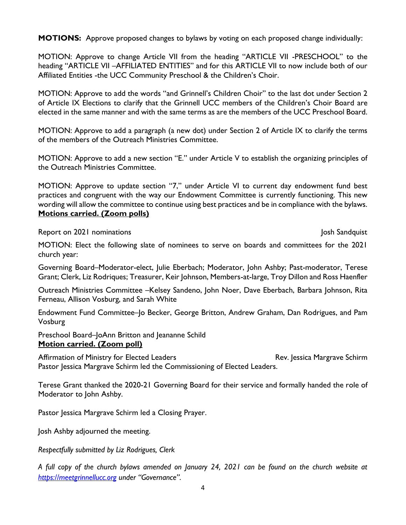**MOTIONS:** Approve proposed changes to bylaws by voting on each proposed change individually:

MOTION: Approve to change Article VII from the heading "ARTICLE VII -PRESCHOOL" to the heading "ARTICLE VII –AFFILIATED ENTITIES" and for this ARTICLE VII to now include both of our Affiliated Entities -the UCC Community Preschool & the Children's Choir.

MOTION: Approve to add the words "and Grinnell's Children Choir" to the last dot under Section 2 of Article IX Elections to clarify that the Grinnell UCC members of the Children's Choir Board are elected in the same manner and with the same terms as are the members of the UCC Preschool Board.

MOTION: Approve to add a paragraph (a new dot) under Section 2 of Article IX to clarify the terms of the members of the Outreach Ministries Committee.

MOTION: Approve to add a new section "E." under Article V to establish the organizing principles of the Outreach Ministries Committee.

MOTION: Approve to update section "7," under Article VI to current day endowment fund best practices and congruent with the way our Endowment Committee is currently functioning. This new wording will allow the committee to continue using best practices and be in compliance with the bylaws. **Motions carried. (Zoom polls)**

Report on 2021 nominations And the Second Second Second Second Second Second Second Second Second Second Second Second Second Second Second Second Second Second Second Second Second Second Second Second Second Second Secon

MOTION: Elect the following slate of nominees to serve on boards and committees for the 2021 church year:

Governing Board–Moderator-elect, Julie Eberbach; Moderator, John Ashby; Past-moderator, Terese Grant; Clerk, Liz Rodriques; Treasurer, Keir Johnson, Members-at-large, Troy Dillon and Ross Haenfler

Outreach Ministries Committee –Kelsey Sandeno, John Noer, Dave Eberbach, Barbara Johnson, Rita Ferneau, Allison Vosburg, and Sarah White

Endowment Fund Committee–Jo Becker, George Britton, Andrew Graham, Dan Rodrigues, and Pam Vosburg

Preschool Board–JoAnn Britton and Jeananne Schild **Motion carried. (Zoom poll)**

Affirmation of Ministry for Elected Leaders **Rev.** Rev. Jessica Margrave Schirm Pastor Jessica Margrave Schirm led the Commissioning of Elected Leaders.

Terese Grant thanked the 2020-21 Governing Board for their service and formally handed the role of Moderator to John Ashby.

Pastor Jessica Margrave Schirm led a Closing Prayer.

Josh Ashby adjourned the meeting.

*Respectfully submitted by Liz Rodrigues, Clerk*

*A full copy of the church bylaws amended on January 24, 2021 can be found on the church website at [https://meetgrinnellucc.org](https://meetgrinnellucc.org/) under "Governance".*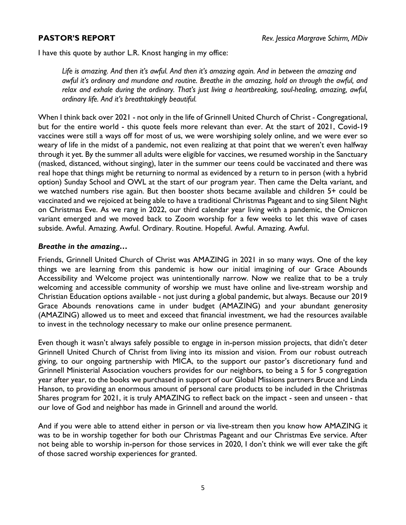I have this quote by author L.R. Knost hanging in my office:

*Life is amazing. And then it's awful. And then it's amazing again. And in between the amazing and awful it's ordinary and mundane and routine. Breathe in the amazing, hold on through the awful, and relax and exhale during the ordinary. That's just living a heartbreaking, soul-healing, amazing, awful, ordinary life. And it's breathtakingly beautiful.*

When I think back over 2021 - not only in the life of Grinnell United Church of Christ - Congregational, but for the entire world - this quote feels more relevant than ever. At the start of 2021, Covid-19 vaccines were still a ways off for most of us, we were worshiping solely online, and we were ever so weary of life in the midst of a pandemic, not even realizing at that point that we weren't even halfway through it yet. By the summer all adults were eligible for vaccines, we resumed worship in the Sanctuary (masked, distanced, without singing), later in the summer our teens could be vaccinated and there was real hope that things might be returning to normal as evidenced by a return to in person (with a hybrid option) Sunday School and OWL at the start of our program year. Then came the Delta variant, and we watched numbers rise again. But then booster shots became available and children 5+ could be vaccinated and we rejoiced at being able to have a traditional Christmas Pageant and to sing Silent Night on Christmas Eve. As we rang in 2022, our third calendar year living with a pandemic, the Omicron variant emerged and we moved back to Zoom worship for a few weeks to let this wave of cases subside. Awful. Amazing. Awful. Ordinary. Routine. Hopeful. Awful. Amazing. Awful.

### *Breathe in the amazing…*

Friends, Grinnell United Church of Christ was AMAZING in 2021 in so many ways. One of the key things we are learning from this pandemic is how our initial imagining of our Grace Abounds Accessibility and Welcome project was unintentionally narrow. Now we realize that to be a truly welcoming and accessible community of worship we must have online and live-stream worship and Christian Education options available - not just during a global pandemic, but always. Because our 2019 Grace Abounds renovations came in under budget (AMAZING) and your abundant generosity (AMAZING) allowed us to meet and exceed that financial investment, we had the resources available to invest in the technology necessary to make our online presence permanent.

Even though it wasn't always safely possible to engage in in-person mission projects, that didn't deter Grinnell United Church of Christ from living into its mission and vision. From our robust outreach giving, to our ongoing partnership with MICA, to the support our pastor's discretionary fund and Grinnell Ministerial Association vouchers provides for our neighbors, to being a 5 for 5 congregation year after year, to the books we purchased in support of our Global Missions partners Bruce and Linda Hanson, to providing an enormous amount of personal care products to be included in the Christmas Shares program for 2021, it is truly AMAZING to reflect back on the impact - seen and unseen - that our love of God and neighbor has made in Grinnell and around the world.

And if you were able to attend either in person or via live-stream then you know how AMAZING it was to be in worship together for both our Christmas Pageant and our Christmas Eve service. After not being able to worship in-person for those services in 2020, I don't think we will ever take the gift of those sacred worship experiences for granted.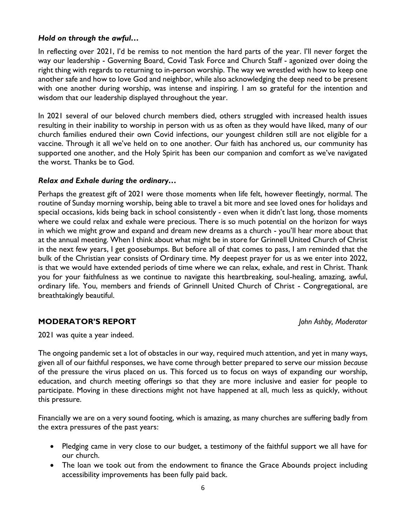### *Hold on through the awful…*

In reflecting over 2021, I'd be remiss to not mention the hard parts of the year. I'll never forget the way our leadership - Governing Board, Covid Task Force and Church Staff - agonized over doing the right thing with regards to returning to in-person worship. The way we wrestled with how to keep one another safe and how to love God and neighbor, while also acknowledging the deep need to be present with one another during worship, was intense and inspiring. I am so grateful for the intention and wisdom that our leadership displayed throughout the year.

In 2021 several of our beloved church members died, others struggled with increased health issues resulting in their inability to worship in person with us as often as they would have liked, many of our church families endured their own Covid infections, our youngest children still are not eligible for a vaccine. Through it all we've held on to one another. Our faith has anchored us, our community has supported one another, and the Holy Spirit has been our companion and comfort as we've navigated the worst. Thanks be to God.

### *Relax and Exhale during the ordinary…*

Perhaps the greatest gift of 2021 were those moments when life felt, however fleetingly, normal. The routine of Sunday morning worship, being able to travel a bit more and see loved ones for holidays and special occasions, kids being back in school consistently - even when it didn't last long, those moments where we could relax and exhale were precious. There is so much potential on the horizon for ways in which we might grow and expand and dream new dreams as a church - you'll hear more about that at the annual meeting. When I think about what might be in store for Grinnell United Church of Christ in the next few years, I get goosebumps. But before all of that comes to pass, I am reminded that the bulk of the Christian year consists of Ordinary time. My deepest prayer for us as we enter into 2022, is that we would have extended periods of time where we can relax, exhale, and rest in Christ. Thank you for your faithfulness as we continue to navigate this heartbreaking, soul-healing, amazing, awful, ordinary life. You, members and friends of Grinnell United Church of Christ - Congregational, are breathtakingly beautiful.

### **MODERATOR'S REPORT** *John Ashby, Moderator*

2021 was quite a year indeed.

The ongoing pandemic set a lot of obstacles in our way, required much attention, and yet in many ways, given all of our faithful responses, we have come through better prepared to serve our mission *because*  of the pressure the virus placed on us. This forced us to focus on ways of expanding our worship, education, and church meeting offerings so that they are more inclusive and easier for people to participate. Moving in these directions might not have happened at all, much less as quickly, without this pressure.

Financially we are on a very sound footing, which is amazing, as many churches are suffering badly from the extra pressures of the past years:

- Pledging came in very close to our budget, a testimony of the faithful support we all have for our church.
- The loan we took out from the endowment to finance the Grace Abounds project including accessibility improvements has been fully paid back.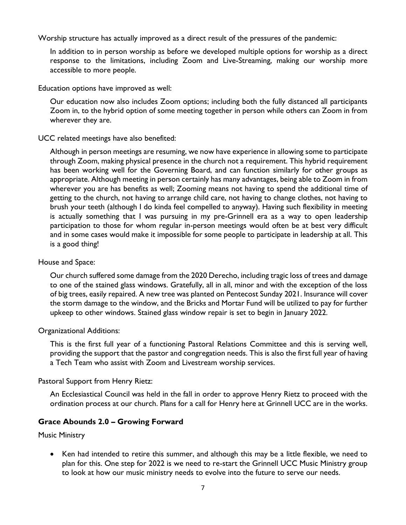Worship structure has actually improved as a direct result of the pressures of the pandemic:

In addition to in person worship as before we developed multiple options for worship as a direct response to the limitations, including Zoom and Live-Streaming, making our worship more accessible to more people.

Education options have improved as well:

Our education now also includes Zoom options; including both the fully distanced all participants Zoom in, to the hybrid option of some meeting together in person while others can Zoom in from wherever they are.

UCC related meetings have also benefited:

Although in person meetings are resuming, we now have experience in allowing some to participate through Zoom, making physical presence in the church not a requirement. This hybrid requirement has been working well for the Governing Board, and can function similarly for other groups as appropriate. Although meeting in person certainly has many advantages, being able to Zoom in from wherever you are has benefits as well; Zooming means not having to spend the additional time of getting to the church, not having to arrange child care, not having to change clothes, not having to brush your teeth (although I do kinda feel compelled to anyway). Having such flexibility in meeting is actually something that I was pursuing in my pre-Grinnell era as a way to open leadership participation to those for whom regular in-person meetings would often be at best very difficult and in some cases would make it impossible for some people to participate in leadership at all. This is a good thing!

### House and Space:

Our church suffered some damage from the 2020 Derecho, including tragic loss of trees and damage to one of the stained glass windows. Gratefully, all in all, minor and with the exception of the loss of big trees, easily repaired. A new tree was planted on Pentecost Sunday 2021. Insurance will cover the storm damage to the window, and the Bricks and Mortar Fund will be utilized to pay for further upkeep to other windows. Stained glass window repair is set to begin in January 2022.

### Organizational Additions:

This is the first full year of a functioning Pastoral Relations Committee and this is serving well, providing the support that the pastor and congregation needs. This is also the first full year of having a Tech Team who assist with Zoom and Livestream worship services.

### Pastoral Support from Henry Rietz:

An Ecclesiastical Council was held in the fall in order to approve Henry Rietz to proceed with the ordination process at our church. Plans for a call for Henry here at Grinnell UCC are in the works.

### **Grace Abounds 2.0 – Growing Forward**

Music Ministry

• Ken had intended to retire this summer, and although this may be a little flexible, we need to plan for this. One step for 2022 is we need to re-start the Grinnell UCC Music Ministry group to look at how our music ministry needs to evolve into the future to serve our needs.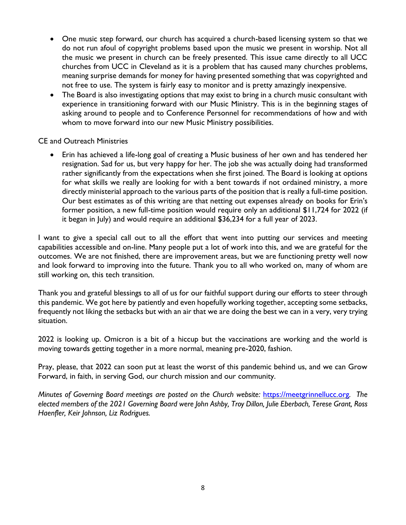- One music step forward, our church has acquired a church-based licensing system so that we do not run afoul of copyright problems based upon the music we present in worship. Not all the music we present in church can be freely presented. This issue came directly to all UCC churches from UCC in Cleveland as it is a problem that has caused many churches problems, meaning surprise demands for money for having presented something that was copyrighted and not free to use. The system is fairly easy to monitor and is pretty amazingly inexpensive.
- The Board is also investigating options that may exist to bring in a church music consultant with experience in transitioning forward with our Music Ministry. This is in the beginning stages of asking around to people and to Conference Personnel for recommendations of how and with whom to move forward into our new Music Ministry possibilities.

CE and Outreach Ministries

• Erin has achieved a life-long goal of creating a Music business of her own and has tendered her resignation. Sad for us, but very happy for her. The job she was actually doing had transformed rather significantly from the expectations when she first joined. The Board is looking at options for what skills we really are looking for with a bent towards if not ordained ministry, a more directly ministerial approach to the various parts of the position that is really a full-time position. Our best estimates as of this writing are that netting out expenses already on books for Erin's former position, a new full-time position would require only an additional \$11,724 for 2022 (if it began in July) and would require an additional \$36,234 for a full year of 2023.

I want to give a special call out to all the effort that went into putting our services and meeting capabilities accessible and on-line. Many people put a lot of work into this, and we are grateful for the outcomes. We are not finished, there are improvement areas, but we are functioning pretty well now and look forward to improving into the future. Thank you to all who worked on, many of whom are still working on, this tech transition.

Thank you and grateful blessings to all of us for our faithful support during our efforts to steer through this pandemic. We got here by patiently and even hopefully working together, accepting some setbacks, frequently not liking the setbacks but with an air that we are doing the best we can in a very, very trying situation.

2022 is looking up. Omicron is a bit of a hiccup but the vaccinations are working and the world is moving towards getting together in a more normal, meaning pre-2020, fashion.

Pray, please, that 2022 can soon put at least the worst of this pandemic behind us, and we can Grow Forward, in faith, in serving God, our church mission and our community.

*Minutes of Governing Board meetings are posted on the Church website:* [https://meetgrinnellucc.org](https://meetgrinnellucc.org/)*. The elected members of the 2021 Governing Board were John Ashby, Troy Dillon, Julie Eberbach, Terese Grant, Ross Haenfler, Keir Johnson, Liz Rodrigues.*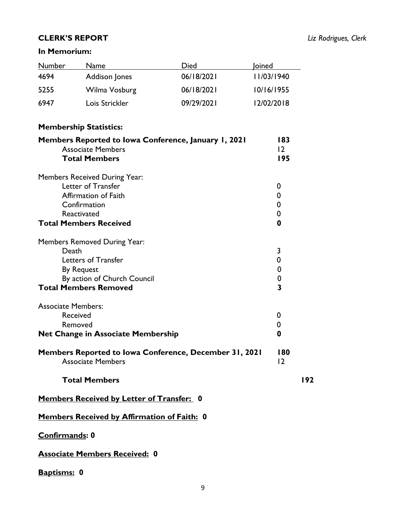### **CLERK'S REPORT** *Liz Rodrigues, Clerk*

### **In Memorium:**

| <b>Number</b>                                    | <b>Name</b>                                                                                                                  | Died       | <b>loined</b> |                                                                      |     |  |  |
|--------------------------------------------------|------------------------------------------------------------------------------------------------------------------------------|------------|---------------|----------------------------------------------------------------------|-----|--|--|
| 4694                                             | <b>Addison Jones</b>                                                                                                         | 06/18/2021 | 11/03/1940    |                                                                      |     |  |  |
| 5255                                             | Wilma Vosburg                                                                                                                | 06/18/2021 | 10/16/1955    |                                                                      |     |  |  |
| 6947                                             | Lois Strickler                                                                                                               | 09/29/2021 | 12/02/2018    |                                                                      |     |  |  |
| <b>Membership Statistics:</b>                    |                                                                                                                              |            |               |                                                                      |     |  |  |
|                                                  | Members Reported to Iowa Conference, January 1, 2021<br><b>Associate Members</b><br><b>Total Members</b>                     |            |               | 183<br>12<br>195                                                     |     |  |  |
| Reactivated                                      | Members Received During Year:<br>Letter of Transfer<br>Affirmation of Faith<br>Confirmation<br><b>Total Members Received</b> |            |               | 0<br>0<br>0<br>$\mathbf 0$<br>0                                      |     |  |  |
| Death<br><b>By Request</b>                       | Members Removed During Year:<br>Letters of Transfer<br>By action of Church Council<br><b>Total Members Removed</b>           |            |               | 3<br>0<br>$\boldsymbol{0}$<br>$\mathbf 0$<br>$\overline{\mathbf{3}}$ |     |  |  |
| <b>Associate Members:</b><br>Received<br>Removed | <b>Net Change in Associate Membership</b><br>Members Reported to Iowa Conference, December 31, 2021                          |            |               | 0<br>0<br>0<br>180                                                   |     |  |  |
|                                                  | <b>Associate Members</b>                                                                                                     |            |               | 12                                                                   |     |  |  |
|                                                  | <b>Total Members</b>                                                                                                         |            |               |                                                                      | 192 |  |  |
| Members Received by Letter of Transfer: 0        |                                                                                                                              |            |               |                                                                      |     |  |  |
| Members Received by Affirmation of Faith: 0      |                                                                                                                              |            |               |                                                                      |     |  |  |
| Confirmands: 0                                   |                                                                                                                              |            |               |                                                                      |     |  |  |
|                                                  | <b>Associate Members Received: 0</b>                                                                                         |            |               |                                                                      |     |  |  |

## **Baptisms: 0**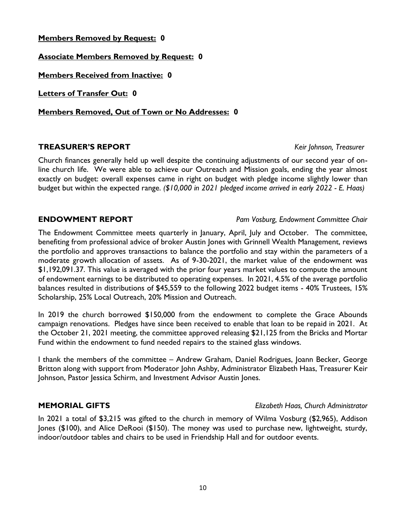### **Members Removed by Request: 0**

**Associate Members Removed by Request: 0**

**Members Received from Inactive: 0**

**Letters of Transfer Out: 0**

**Members Removed, Out of Town or No Addresses: 0**

### **TREASURER'S REPORT** *Keir Johnson, Treasurer*

Church finances generally held up well despite the continuing adjustments of our second year of online church life. We were able to achieve our Outreach and Mission goals, ending the year almost exactly on budget: overall expenses came in right on budget with pledge income slightly lower than budget but within the expected range. *(\$10,000 in 2021 pledged income arrived in early 2022 - E. Haas)*

### **ENDOWMENT REPORT** *Pam Vosburg, Endowment Committee Chair*

The Endowment Committee meets quarterly in January, April, July and October. The committee, benefiting from professional advice of broker Austin Jones with Grinnell Wealth Management, reviews the portfolio and approves transactions to balance the portfolio and stay within the parameters of a moderate growth allocation of assets. As of 9-30-2021, the market value of the endowment was \$1,192,091.37. This value is averaged with the prior four years market values to compute the amount of endowment earnings to be distributed to operating expenses. In 2021, 4.5% of the average portfolio balances resulted in distributions of \$45,559 to the following 2022 budget items - 40% Trustees, 15% Scholarship, 25% Local Outreach, 20% Mission and Outreach.

In 2019 the church borrowed \$150,000 from the endowment to complete the Grace Abounds campaign renovations. Pledges have since been received to enable that loan to be repaid in 2021. At the October 21, 2021 meeting, the committee approved releasing \$21,125 from the Bricks and Mortar Fund within the endowment to fund needed repairs to the stained glass windows.

I thank the members of the committee – Andrew Graham, Daniel Rodrigues, Joann Becker, George Britton along with support from Moderator John Ashby, Administrator Elizabeth Haas, Treasurer Keir Johnson, Pastor Jessica Schirm, and Investment Advisor Austin Jones.

### **MEMORIAL GIFTS** *Elizabeth Haas, Church Administrator*

In 2021 a total of \$3,215 was gifted to the church in memory of Wilma Vosburg (\$2,965), Addison Jones (\$100), and Alice DeRooi (\$150). The money was used to purchase new, lightweight, sturdy, indoor/outdoor tables and chairs to be used in Friendship Hall and for outdoor events.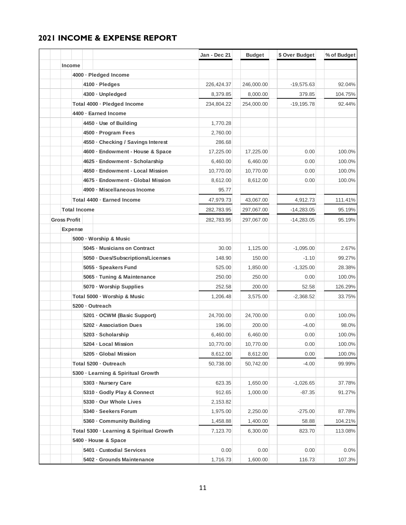### **2021 INCOME & EXPENSE REPORT**

|                     |                     |                                          | Jan - Dec 21 | <b>Budget</b> | \$ Over Budget | % of Budget |
|---------------------|---------------------|------------------------------------------|--------------|---------------|----------------|-------------|
| <b>Income</b>       |                     |                                          |              |               |                |             |
|                     |                     | 4000 · Pledged Income                    |              |               |                |             |
|                     |                     | 4100 · Pledges                           | 226,424.37   | 246,000.00    | $-19,575.63$   | 92.04%      |
|                     |                     | 4300 · Unpledged                         | 8,379.85     | 8,000.00      | 379.85         | 104.75%     |
|                     |                     | Total 4000 · Pledged Income              | 234,804.22   | 254,000.00    | $-19, 195.78$  | 92.44%      |
|                     |                     | 4400 · Earned Income                     |              |               |                |             |
|                     |                     | 4450 · Use of Building                   | 1,770.28     |               |                |             |
|                     |                     | 4500 - Program Fees                      | 2,760.00     |               |                |             |
|                     |                     | 4550 · Checking / Savings Interest       | 286.68       |               |                |             |
|                     |                     | 4600 · Endowment - House & Space         | 17,225.00    | 17,225.00     | 0.00           | 100.0%      |
|                     |                     | 4625 · Endowment - Scholarship           | 6,460.00     | 6,460.00      | 0.00           | 100.0%      |
|                     |                     | 4650 · Endowment - Local Mission         | 10,770.00    | 10,770.00     | 0.00           | 100.0%      |
|                     |                     | 4675 · Endowment - Global Mission        | 8,612.00     | 8,612.00      | 0.00           | 100.0%      |
|                     |                     | 4900 · Miscellaneous Income              | 95.77        |               |                |             |
|                     |                     | Total 4400 - Earned Income               | 47,979.73    | 43,067.00     | 4,912.73       | 111.41%     |
|                     | <b>Total Income</b> |                                          | 282,783.95   | 297,067.00    | $-14,283.05$   | 95.19%      |
| <b>Gross Profit</b> |                     |                                          | 282,783.95   | 297,067.00    | $-14,283.05$   | 95.19%      |
| <b>Expense</b>      |                     |                                          |              |               |                |             |
|                     |                     | 5000 · Worship & Music                   |              |               |                |             |
|                     |                     | 5045 - Musicians on Contract             | 30.00        | 1,125.00      | $-1,095.00$    | 2.67%       |
|                     |                     | 5050 Dues/Subscriptions/Licenses         | 148.90       | 150.00        | $-1.10$        | 99.27%      |
|                     |                     | 5055 · Speakers Fund                     | 525.00       | 1,850.00      | $-1,325.00$    | 28.38%      |
|                     |                     | 5065 · Tuning & Maintenance              | 250.00       | 250.00        | 0.00           | 100.0%      |
|                     |                     | 5070 · Worship Supplies                  | 252.58       | 200.00        | 52.58          | 126.29%     |
|                     |                     | Total 5000 · Worship & Music             | 1,206.48     | 3,575.00      | $-2,368.52$    | 33.75%      |
|                     |                     | 5200 - Outreach                          |              |               |                |             |
|                     |                     | 5201 - OCWM (Basic Support)              | 24,700.00    | 24,700.00     | 0.00           | 100.0%      |
|                     |                     | 5202 - Association Dues                  | 196.00       | 200.00        | $-4.00$        | 98.0%       |
|                     |                     | 5203 · Scholarship                       | 6,460.00     | 6,460.00      | 0.00           | 100.0%      |
|                     |                     | 5204 · Local Mission                     | 10,770.00    | 10,770.00     | 0.00           | 100.0%      |
|                     |                     | 5205 · Global Mission                    | 8,612.00     | 8,612.00      | 0.00           | 100.0%      |
|                     |                     | Total 5200 - Outreach                    | 50,738.00    | 50,742.00     | $-4.00$        | 99.99%      |
|                     |                     | 5300 - Learning & Spiritual Growth       |              |               |                |             |
|                     |                     | 5303 - Nursery Care                      | 623.35       | 1,650.00      | $-1,026.65$    | 37.78%      |
|                     |                     | 5310 · Godly Play & Connect              | 912.65       | 1,000.00      | $-87.35$       | 91.27%      |
|                     |                     | 5330 - Our Whole Lives                   | 2,153.82     |               |                |             |
|                     |                     | 5340 · Seekers Forum                     | 1,975.00     | 2,250.00      | $-275.00$      | 87.78%      |
|                     |                     | 5360 - Community Building                | 1,458.88     | 1,400.00      | 58.88          | 104.21%     |
|                     |                     | Total 5300 - Learning & Spiritual Growth | 7,123.70     | 6,300.00      | 823.70         | 113.08%     |
|                     |                     | 5400 · House & Space                     |              |               |                |             |
|                     |                     | 5401 - Custodial Services                | 0.00         | 0.00          | 0.00           | $0.0\%$     |
|                     |                     | 5402 - Grounds Maintenance               | 1,716.73     | 1,600.00      | 116.73         | 107.3%      |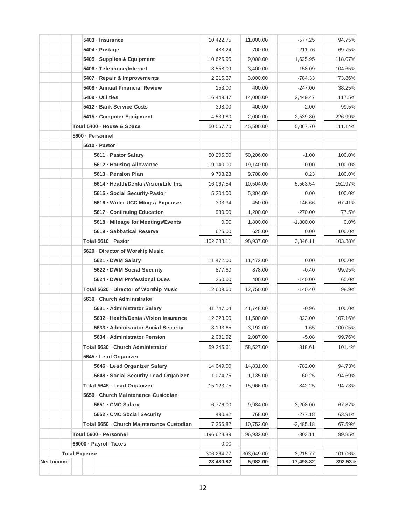|            |                      |                                   | 5403 · Insurance                          | 10,422.75    | 11,000.00   | $-577.25$    | 94.75%  |
|------------|----------------------|-----------------------------------|-------------------------------------------|--------------|-------------|--------------|---------|
|            |                      |                                   | 5404 · Postage                            | 488.24       | 700.00      | $-211.76$    | 69.75%  |
|            |                      |                                   | 5405 · Supplies & Equipment               | 10,625.95    | 9,000.00    | 1,625.95     | 118.07% |
|            |                      |                                   | 5406 - Telephone/Internet                 | 3,558.09     | 3,400.00    | 158.09       | 104.65% |
|            |                      |                                   | 5407 · Repair & Improvements              | 2,215.67     | 3,000.00    | $-784.33$    | 73.86%  |
|            |                      |                                   | 5408 - Annual Financial Review            | 153.00       | 400.00      | $-247.00$    | 38.25%  |
|            |                      |                                   | 5409 - Utilities                          | 16,449.47    | 14,000.00   | 2,449.47     | 117.5%  |
|            |                      |                                   | 5412 - Bank Service Costs                 | 398.00       | 400.00      | $-2.00$      | 99.5%   |
|            |                      |                                   | 5415 - Computer Equipment                 | 4,539.80     | 2,000.00    | 2,539.80     | 226.99% |
|            |                      |                                   | Total 5400 - House & Space                | 50,567.70    | 45,500.00   | 5,067.70     | 111.14% |
|            |                      |                                   | 5600 · Personnel                          |              |             |              |         |
|            |                      |                                   | 5610 · Pastor                             |              |             |              |         |
|            |                      |                                   | 5611 - Pastor Salary                      | 50,205.00    | 50,206.00   | $-1.00$      | 100.0%  |
|            |                      |                                   | 5612 · Housing Allowance                  | 19,140.00    | 19,140.00   | 0.00         | 100.0%  |
|            |                      |                                   | 5613 - Pension Plan                       | 9.708.23     | 9,708.00    | 0.23         | 100.0%  |
|            |                      |                                   | 5614 · Health/Dental/Vision/Life Ins.     | 16,067.54    | 10,504.00   | 5,563.54     | 152.97% |
|            |                      |                                   | 5615 · Social Security-Pastor             | 5,304.00     | 5,304.00    | 0.00         | 100.0%  |
|            |                      |                                   | 5616 · Wider UCC Mtngs / Expenses         | 303.34       | 450.00      | $-146.66$    | 67.41%  |
|            |                      |                                   | 5617 Continuing Education                 | 930.00       | 1,200.00    | $-270.00$    | 77.5%   |
|            |                      |                                   | 5618 - Mileage for Meetings/Events        | 0.00         | 1,800.00    | $-1,800.00$  | 0.0%    |
|            |                      |                                   | 5619 · Sabbatical Reserve                 | 625.00       | 625.00      | 0.00         | 100.0%  |
|            |                      |                                   | Total 5610 - Pastor                       | 102,283.11   | 98,937.00   | 3,346.11     | 103.38% |
|            |                      |                                   | 5620 - Director of Worship Music          |              |             |              |         |
|            |                      |                                   | 5621 - DWM Salary                         | 11,472.00    | 11,472.00   | 0.00         | 100.0%  |
|            |                      |                                   | 5622 · DWM Social Security                | 877.60       | 878.00      | $-0.40$      | 99.95%  |
|            |                      |                                   | 5624 DWM Professional Dues                | 260.00       | 400.00      | $-140.00$    | 65.0%   |
|            |                      |                                   | Total 5620 - Director of Worship Music    | 12,609.60    | 12,750.00   | $-140.40$    | 98.9%   |
|            |                      |                                   | 5630 - Church Administrator               |              |             |              |         |
|            |                      |                                   | 5631 - Administrator Salary               | 41,747.04    | 41,748.00   | $-0.96$      | 100.0%  |
|            |                      |                                   | 5632 · Health/Dental/Vision Insurance     | 12,323.00    | 11,500.00   | 823.00       | 107.16% |
|            |                      |                                   | 5633 - Administrator Social Security      | 3,193.65     | 3,192.00    | 1.65         | 100.05% |
|            |                      |                                   | 5634 · Administrator Pension              | 2,081.92     | 2,087.00    | $-5.08$      | 99.76%  |
|            |                      | Total 5630 - Church Administrator |                                           | 59.345.61    | 58,527.00   | 818.61       | 101.4%  |
|            |                      |                                   | 5645 · Lead Organizer                     |              |             |              |         |
|            |                      |                                   | 5646 · Lead Organizer Salary              | 14,049.00    | 14,831.00   | $-782.00$    | 94.73%  |
|            |                      |                                   | 5648 - Social Security-Lead Organizer     | 1,074.75     | 1,135.00    | $-60.25$     | 94.69%  |
|            |                      | Total 5645 - Lead Organizer       |                                           | 15, 123. 75  | 15,966.00   | $-842.25$    | 94.73%  |
|            |                      |                                   | 5650 · Church Maintenance Custodian       |              |             |              |         |
|            |                      |                                   | 5651 - CMC Salary                         | 6,776.00     | 9,984.00    | $-3,208.00$  | 67.87%  |
|            |                      |                                   | 5652 - CMC Social Security                | 490.82       | 768.00      | $-277.18$    | 63.91%  |
|            |                      |                                   | Total 5650 - Church Maintenance Custodian | 7,266.82     | 10,752.00   | $-3,485.18$  | 67.59%  |
|            |                      |                                   | Total 5600 · Personnel                    | 196,628.89   | 196,932.00  | $-303.11$    | 99.85%  |
|            |                      |                                   | 66000 · Payroll Taxes                     | 0.00         |             |              |         |
|            | <b>Total Expense</b> |                                   |                                           | 306,264.77   | 303,049.00  | 3,215.77     | 101.06% |
| Net Income |                      |                                   |                                           | $-23,480.82$ | $-5,982.00$ | $-17,498.82$ | 392.53% |
|            |                      |                                   |                                           |              |             |              |         |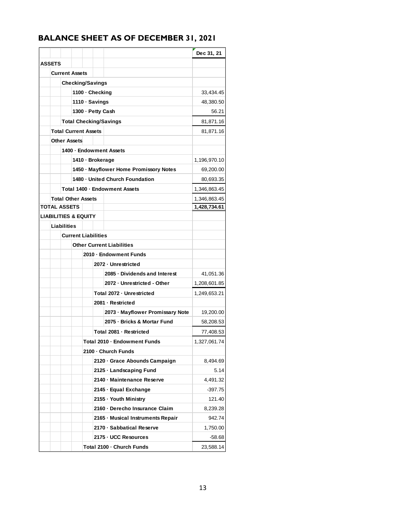## **BALANCE SHEET AS OF DECEMBER 31, 2021**

|               |                                 |                  |                                        | Dec 31, 21   |
|---------------|---------------------------------|------------------|----------------------------------------|--------------|
| <b>ASSETS</b> |                                 |                  |                                        |              |
|               | <b>Current Assets</b>           |                  |                                        |              |
|               | <b>Checking/Savings</b>         |                  |                                        |              |
|               |                                 | 1100 - Checking  |                                        | 33,434.45    |
|               |                                 | 1110 · Savings   |                                        | 48,380.50    |
|               |                                 |                  | 1300 - Petty Cash                      | 56.21        |
|               | <b>Total Checking/Savings</b>   |                  |                                        | 81,871.16    |
|               | <b>Total Current Assets</b>     |                  |                                        | 81,871.16    |
|               | <b>Other Assets</b>             |                  |                                        |              |
|               |                                 |                  | 1400 - Endowment Assets                |              |
|               |                                 | 1410 · Brokerage |                                        | 1,196,970.10 |
|               |                                 |                  | 1450 - Mayflower Home Promissory Notes | 69,200.00    |
|               |                                 |                  | 1480 - United Church Foundation        | 80,693.35    |
|               |                                 |                  | Total 1400 - Endowment Assets          | 1,346,863.45 |
|               | <b>Total Other Assets</b>       |                  |                                        | 1,346,863.45 |
|               | <b>TOTAL ASSETS</b>             |                  |                                        | 1,428,734.61 |
|               | <b>LIABILITIES &amp; EQUITY</b> |                  |                                        |              |
|               | <b>Liabilities</b>              |                  |                                        |              |
|               | <b>Current Liabilities</b>      |                  |                                        |              |
|               |                                 |                  | <b>Other Current Liabilities</b>       |              |
|               |                                 |                  | 2010 - Endowment Funds                 |              |
|               |                                 |                  | 2072 - Unrestricted                    |              |
|               |                                 |                  | 2085 - Dividends and Interest          | 41,051.36    |
|               |                                 |                  | 2072 - Unrestricted - Other            | 1,208,601.85 |
|               |                                 |                  | Total 2072 - Unrestricted              | 1,249,653.21 |
|               |                                 |                  | 2081 - Restricted                      |              |
|               |                                 |                  | 2073 - Mayflower Promissary Note       | 19,200.00    |
|               |                                 |                  | 2075 - Bricks & Mortar Fund            | 58,208.53    |
|               |                                 |                  | Total 2081 - Restricted                | 77,408.53    |
|               |                                 |                  | Total 2010 - Endowment Funds           | 1,327,061.74 |
|               |                                 |                  | 2100 - Church Funds                    |              |
|               |                                 |                  | 2120 - Grace Abounds Campaign          | 8,494.69     |
|               |                                 |                  | 2125 · Landscaping Fund                | 5.14         |
|               |                                 |                  | 2140 - Maintenance Reserve             | 4,491.32     |
|               |                                 |                  | 2145 · Equal Exchange                  | $-397.75$    |
|               |                                 |                  | 2155 · Youth Ministry                  | 121.40       |
|               |                                 |                  | 2160 - Derecho Insurance Claim         | 8,239.28     |
|               |                                 |                  | 2165 - Musical Instruments Repair      | 942.74       |
|               |                                 |                  | 2170 - Sabbatical Reserve              | 1,750.00     |
|               |                                 |                  | 2175 - UCC Resources                   | $-58.68$     |
|               |                                 |                  | Total 2100 - Church Funds              | 23,588.14    |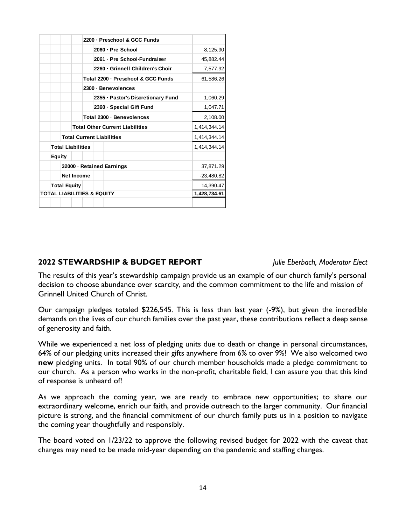|                     |                                        |  |                   |  |           | 2060 - Pre School                  | 8,125.90     |
|---------------------|----------------------------------------|--|-------------------|--|-----------|------------------------------------|--------------|
|                     |                                        |  |                   |  |           | 2061 - Pre School-Fundraiser       | 45,882.44    |
|                     |                                        |  |                   |  |           | 2260 - Grinnell Children's Choir   | 7,577.92     |
|                     |                                        |  |                   |  |           | Total 2200 - Preschool & GCC Funds | 61.586.26    |
|                     |                                        |  |                   |  |           | 2300 · Benevolences                |              |
|                     |                                        |  |                   |  |           | 2355 · Pastor's Discretionary Fund | 1,060.29     |
|                     |                                        |  |                   |  |           | 2360 - Special Gift Fund           | 1,047.71     |
|                     |                                        |  |                   |  |           | Total 2300 · Benevolences          | 2,108.00     |
|                     | <b>Total Other Current Liabilities</b> |  |                   |  |           |                                    | 1,414,344.14 |
|                     | <b>Total Current Liabilities</b>       |  |                   |  |           |                                    | 1,414,344.14 |
|                     | <b>Total Liabilities</b>               |  |                   |  |           |                                    | 1,414,344.14 |
|                     | <b>Equity</b>                          |  |                   |  |           |                                    |              |
|                     | 32000 · Retained Earnings              |  |                   |  |           |                                    | 37,871.29    |
|                     |                                        |  | <b>Net Income</b> |  |           |                                    | $-23,480.82$ |
| <b>Total Equity</b> |                                        |  |                   |  | 14,390.47 |                                    |              |
|                     | <b>TOTAL LIABILITIES &amp; EQUITY</b>  |  |                   |  |           |                                    | 1,428,734.61 |
|                     |                                        |  |                   |  |           |                                    |              |

### **2022 STEWARDSHIP & BUDGET REPORT** *Julie Eberbach, Moderator Elect*

The results of this year's stewardship campaign provide us an example of our church family's personal decision to choose abundance over scarcity, and the common commitment to the life and mission of Grinnell United Church of Christ.

Our campaign pledges totaled \$226,545. This is less than last year (-9%), but given the incredible demands on the lives of our church families over the past year, these contributions reflect a deep sense of generosity and faith.

While we experienced a net loss of pledging units due to death or change in personal circumstances, 64% of our pledging units increased their gifts anywhere from 6% to over 9%! We also welcomed two **new** pledging units. In total 90% of our church member households made a pledge commitment to our church. As a person who works in the non-profit, charitable field, I can assure you that this kind of response is unheard of!

As we approach the coming year, we are ready to embrace new opportunities; to share our extraordinary welcome, enrich our faith, and provide outreach to the larger community. Our financial picture is strong, and the financial commitment of our church family puts us in a position to navigate the coming year thoughtfully and responsibly.

The board voted on 1/23/22 to approve the following revised budget for 2022 with the caveat that changes may need to be made mid-year depending on the pandemic and staffing changes.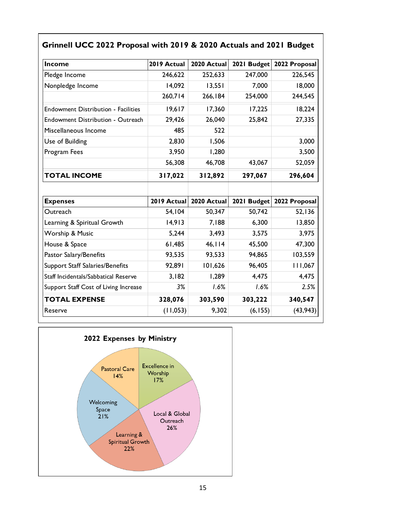| Income                                     | 2019 Actual | 2020 Actual |         | 2021 Budget 2022 Proposal |
|--------------------------------------------|-------------|-------------|---------|---------------------------|
| Pledge Income                              | 246,622     | 252,633     | 247,000 | 226,545                   |
| Nonpledge Income                           | 14,092      | 13,551      | 7,000   | 18,000                    |
|                                            | 260,714     | 266,184     | 254,000 | 244,545                   |
| <b>Endowment Distribution - Facilities</b> | 19,617      | 17,360      | 17,225  | 18,224                    |
| Endowment Distribution - Outreach          | 29,426      | 26,040      | 25,842  | 27,335                    |
| Miscellaneous Income                       | 485         | 522         |         |                           |
| Use of Building                            | 2,830       | 1,506       |         | 3,000                     |
| Program Fees                               | 3,950       | 1,280       |         | 3,500                     |
|                                            | 56,308      | 46,708      | 43,067  | 52,059                    |
| <b>TOTAL INCOME</b>                        | 317,022     | 312,892     | 297,067 | 296,604                   |
|                                            |             |             |         |                           |
| <b>Expenses</b>                            | 2019 Actual | 2020 Actual |         | 2021 Budget 2022 Proposal |
| Outreach                                   | 54,104      | 50,347      | 50,742  | 52,136                    |
| Learning & Spiritual Growth                | 14,913      | 7,188       | 6,300   | 13,850                    |
| Worship & Music                            | 5,244       | 3,493       | 3,575   | 3,975                     |
| House & Space                              | 61,485      | 46, 114     | 45,500  | 47,300                    |
| Pastor Salary/Benefits                     | 93,535      | 93,533      | 94,865  | 103,559                   |
| <b>Support Staff Salaries/Benefits</b>     | 92,891      | 101,626     | 96,405  | 111,067                   |
| Staff Incidentals/Sabbatical Reserve       | 3,182       | 1,289       | 4,475   | 4,475                     |
| Support Staff Cost of Living Increase      | 3%          | 1.6%        | 1.6%    | 2.5%                      |
|                                            |             |             |         |                           |
| <b>TOTAL EXPENSE</b>                       | 328,076     | 303,590     | 303,222 | 340,547                   |

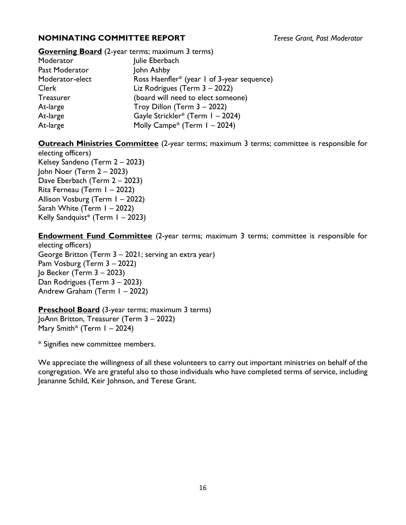### **NOMINATING COMMITTEE REPORT** *Terese Grant, Past Moderator*

## **Governing Board** (2-year terms; maximum 3 terms) Moderator **Julie Eberbach** Past Moderator **John Ashby**

Moderator-elect Ross Haenfler\* (year 1 of 3-year sequence) Clerk Liz Rodrigues (Term 3 – 2022) Treasurer (board will need to elect someone) At-large Troy Dillon (Term 3 – 2022) At-large Gayle Strickler\* (Term 1 – 2024) At-large Molly Campe<sup>\*</sup> (Term 1 – 2024)

**Outreach Ministries Committee** (2-year terms; maximum 3 terms; committee is responsible for

electing officers) Kelsey Sandeno (Term 2 – 2023) John Noer (Term 2 – 2023) Dave Eberbach (Term 2 – 2023) Rita Ferneau (Term 1 – 2022) Allison Vosburg (Term 1 – 2022) Sarah White (Term 1 – 2022) Kelly Sandquist\* (Term  $1 - 2023$ )

**Endowment Fund Committee** (2-year terms; maximum 3 terms; committee is responsible for electing officers) George Britton (Term 3 – 2021; serving an extra year)

Pam Vosburg (Term 3 – 2022) Jo Becker (Term 3 – 2023) Dan Rodrigues (Term 3 – 2023) Andrew Graham (Term 1 – 2022)

**Preschool Board** (3-year terms; maximum 3 terms) JoAnn Britton, Treasurer (Term 3 – 2022) Mary Smith\* (Term  $1 - 2024$ )

\* Signifies new committee members.

We appreciate the willingness of all these volunteers to carry out important ministries on behalf of the congregation. We are grateful also to those individuals who have completed terms of service, including Jeananne Schild, Keir Johnson, and Terese Grant.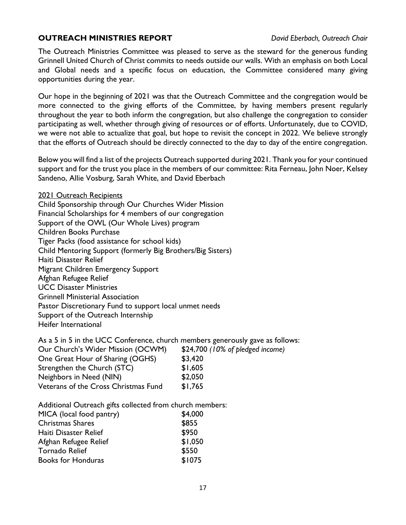### **OUTREACH MINISTRIES REPORT** *David Eberbach, Outreach Chair*

The Outreach Ministries Committee was pleased to serve as the steward for the generous funding Grinnell United Church of Christ commits to needs outside our walls. With an emphasis on both Local and Global needs and a specific focus on education, the Committee considered many giving opportunities during the year.

Our hope in the beginning of 2021 was that the Outreach Committee and the congregation would be more connected to the giving efforts of the Committee, by having members present regularly throughout the year to both inform the congregation, but also challenge the congregation to consider participating as well, whether through giving of resources or of efforts. Unfortunately, due to COVID, we were not able to actualize that goal, but hope to revisit the concept in 2022. We believe strongly that the efforts of Outreach should be directly connected to the day to day of the entire congregation.

Below you will find a list of the projects Outreach supported during 2021. Thank you for your continued support and for the trust you place in the members of our committee: Rita Ferneau, John Noer, Kelsey Sandeno, Allie Vosburg, Sarah White, and David Eberbach

2021 Outreach Recipients Child Sponsorship through Our Churches Wider Mission Financial Scholarships for 4 members of our congregation Support of the OWL (Our Whole Lives) program Children Books Purchase Tiger Packs (food assistance for school kids) Child Mentoring Support (formerly Big Brothers/Big Sisters) Haiti Disaster Relief Migrant Children Emergency Support Afghan Refugee Relief UCC Disaster Ministries Grinnell Ministerial Association Pastor Discretionary Fund to support local unmet needs Support of the Outreach Internship Heifer International

| As a 5 in 5 in the UCC Conference, church members generously gave as follows: |                                  |
|-------------------------------------------------------------------------------|----------------------------------|
| Our Church's Wider Mission (OCWM)                                             | \$24,700 (10% of pledged income) |
| One Great Hour of Sharing (OGHS)                                              | \$3,420                          |
| Strengthen the Church (STC)                                                   | \$1,605                          |
| Neighbors in Need (NIN)                                                       | \$2,050                          |
| Veterans of the Cross Christmas Fund                                          | \$1,765                          |

Additional Outreach gifts collected from church members:

| MICA (local food pantry)  | \$4,000 |
|---------------------------|---------|
| <b>Christmas Shares</b>   | \$855   |
| Haiti Disaster Relief     | \$950   |
| Afghan Refugee Relief     | \$1,050 |
| <b>Tornado Relief</b>     | \$550   |
| <b>Books for Honduras</b> | \$1075  |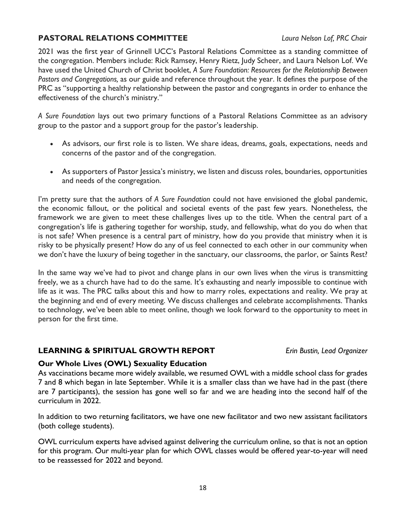### **PASTORAL RELATIONS COMMITTEE** *Laura Nelson Lof, PRC Chair*

2021 was the first year of Grinnell UCC's Pastoral Relations Committee as a standing committee of the congregation. Members include: Rick Ramsey, Henry Rietz, Judy Scheer, and Laura Nelson Lof. We have used the United Church of Christ booklet, *A Sure Foundation: Resources for the Relationship Between Pastors and Congregations,* as our guide and reference throughout the year. It defines the purpose of the PRC as "supporting a healthy relationship between the pastor and congregants in order to enhance the effectiveness of the church's ministry."

*A Sure Foundation* lays out two primary functions of a Pastoral Relations Committee as an advisory group to the pastor and a support group for the pastor's leadership.

- As advisors, our first role is to listen. We share ideas, dreams, goals, expectations, needs and concerns of the pastor and of the congregation.
- As supporters of Pastor Jessica's ministry, we listen and discuss roles, boundaries, opportunities and needs of the congregation.

I'm pretty sure that the authors of *A Sure Foundation* could not have envisioned the global pandemic, the economic fallout, or the political and societal events of the past few years. Nonetheless, the framework we are given to meet these challenges lives up to the title. When the central part of a congregation's life is gathering together for worship, study, and fellowship, what do you do when that is not safe? When presence is a central part of ministry, how do you provide that ministry when it is risky to be physically present? How do any of us feel connected to each other in our community when we don't have the luxury of being together in the sanctuary, our classrooms, the parlor, or Saints Rest?

In the same way we've had to pivot and change plans in our own lives when the virus is transmitting freely, we as a church have had to do the same. It's exhausting and nearly impossible to continue with life as it was. The PRC talks about this and how to marry roles, expectations and reality. We pray at the beginning and end of every meeting. We discuss challenges and celebrate accomplishments. Thanks to technology, we've been able to meet online, though we look forward to the opportunity to meet in person for the first time.

### **LEARNING & SPIRITUAL GROWTH REPORT** *Erin Bustin, Lead Organizer*

### **Our Whole Lives (OWL) Sexuality Education**

As vaccinations became more widely available, we resumed OWL with a middle school class for grades 7 and 8 which began in late September. While it is a smaller class than we have had in the past (there are 7 participants), the session has gone well so far and we are heading into the second half of the curriculum in 2022.

In addition to two returning facilitators, we have one new facilitator and two new assistant facilitators (both college students).

OWL curriculum experts have advised against delivering the curriculum online, so that is not an option for this program. Our multi-year plan for which OWL classes would be offered year-to-year will need to be reassessed for 2022 and beyond.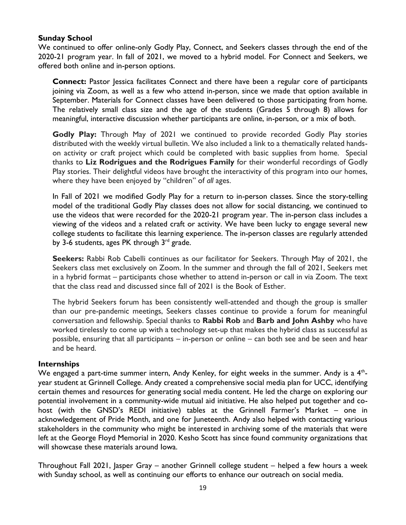### **Sunday School**

We continued to offer online-only Godly Play, Connect, and Seekers classes through the end of the 2020-21 program year. In fall of 2021, we moved to a hybrid model. For Connect and Seekers, we offered both online and in-person options.

**Connect:** Pastor Jessica facilitates Connect and there have been a regular core of participants joining via Zoom, as well as a few who attend in-person, since we made that option available in September. Materials for Connect classes have been delivered to those participating from home. The relatively small class size and the age of the students (Grades 5 through 8) allows for meaningful, interactive discussion whether participants are online, in-person, or a mix of both.

**Godly Play:** Through May of 2021 we continued to provide recorded Godly Play stories distributed with the weekly virtual bulletin. We also included a link to a thematically related handson activity or craft project which could be completed with basic supplies from home. Special thanks to **Liz Rodrigues and the Rodrigues Family** for their wonderful recordings of Godly Play stories. Their delightful videos have brought the interactivity of this program into our homes, where they have been enjoyed by "children" of *all* ages.

In Fall of 2021 we modified Godly Play for a return to in-person classes. Since the story-telling model of the traditional Godly Play classes does not allow for social distancing, we continued to use the videos that were recorded for the 2020-21 program year. The in-person class includes a viewing of the videos and a related craft or activity. We have been lucky to engage several new college students to facilitate this learning experience. The in-person classes are regularly attended by 3-6 students, ages PK through  $3<sup>rd</sup>$  grade.

**Seekers:** Rabbi Rob Cabelli continues as our facilitator for Seekers. Through May of 2021, the Seekers class met exclusively on Zoom. In the summer and through the fall of 2021, Seekers met in a hybrid format – participants chose whether to attend in-person or call in via Zoom. The text that the class read and discussed since fall of 2021 is the Book of Esther.

The hybrid Seekers forum has been consistently well-attended and though the group is smaller than our pre-pandemic meetings, Seekers classes continue to provide a forum for meaningful conversation and fellowship. Special thanks to **Rabbi Rob** and **Barb and John Ashby** who have worked tirelessly to come up with a technology set-up that makes the hybrid class as successful as possible, ensuring that all participants – in-person or online – can both see and be seen and hear and be heard.

### **Internships**

We engaged a part-time summer intern, Andy Kenley, for eight weeks in the summer. Andy is a  $4<sup>th</sup>$ year student at Grinnell College. Andy created a comprehensive social media plan for UCC, identifying certain themes and resources for generating social media content. He led the charge on exploring our potential involvement in a community-wide mutual aid initiative. He also helped put together and cohost (with the GNSD's REDI initiative) tables at the Grinnell Farmer's Market – one in acknowledgement of Pride Month, and one for Juneteenth. Andy also helped with contacting various stakeholders in the community who might be interested in archiving some of the materials that were left at the George Floyd Memorial in 2020. Kesho Scott has since found community organizations that will showcase these materials around Iowa.

Throughout Fall 2021, Jasper Gray – another Grinnell college student – helped a few hours a week with Sunday school, as well as continuing our efforts to enhance our outreach on social media.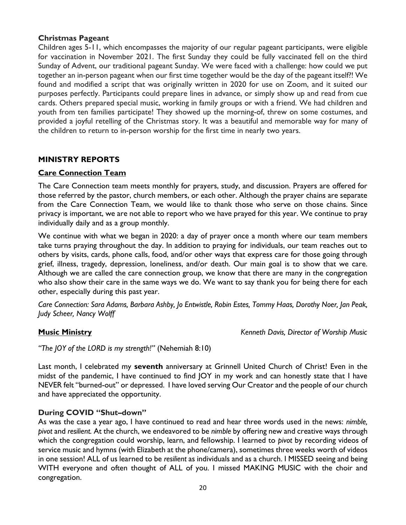### **Christmas Pageant**

Children ages 5-11, which encompasses the majority of our regular pageant participants, were eligible for vaccination in November 2021. The first Sunday they could be fully vaccinated fell on the third Sunday of Advent, our traditional pageant Sunday. We were faced with a challenge: how could we put together an in-person pageant when our first time together would be the day of the pageant itself?! We found and modified a script that was originally written in 2020 for use on Zoom, and it suited our purposes perfectly. Participants could prepare lines in advance, or simply show up and read from cue cards. Others prepared special music, working in family groups or with a friend. We had children and youth from ten families participate! They showed up the morning-of, threw on some costumes, and provided a joyful retelling of the Christmas story. It was a beautiful and memorable way for many of the children to return to in-person worship for the first time in nearly two years.

### **MINISTRY REPORTS**

### **Care Connection Team**

The Care Connection team meets monthly for prayers, study, and discussion. Prayers are offered for those referred by the pastor, church members, or each other. Although the prayer chains are separate from the Care Connection Team, we would like to thank those who serve on those chains. Since privacy is important, we are not able to report who we have prayed for this year. We continue to pray individually daily and as a group monthly.

We continue with what we began in 2020: a day of prayer once a month where our team members take turns praying throughout the day. In addition to praying for individuals, our team reaches out to others by visits, cards, phone calls, food, and/or other ways that express care for those going through grief, illness, tragedy, depression, loneliness, and/or death. Our main goal is to show that we care. Although we are called the care connection group, we know that there are many in the congregation who also show their care in the same ways we do. We want to say thank you for being there for each other, especially during this past year.

*Care Connection: Sara Adams, Barbara Ashby, Jo Entwistle, Robin Estes, Tommy Haas, Dorothy Noer, Jan Peak, Judy Scheer, Nancy Wolff*

**Music Ministry** *Kenneth Davis, Director of Worship Music*

*"The JOY of the LORD is my strength!"* (Nehemiah 8:10)

Last month, I celebrated my **seventh** anniversary at Grinnell United Church of Christ! Even in the midst of the pandemic, I have continued to find JOY in my work and can honestly state that I have NEVER felt "burned-out" or depressed. I have loved serving Our Creator and the people of our church and have appreciated the opportunity.

### **During COVID "Shut–down"**

As was the case a year ago, I have continued to read and hear three words used in the news: *nimble, pivot* and *resilient.* At the church, we endeavored to be *nimble* by offering new and creative ways through which the congregation could worship, learn, and fellowship. I learned to *pivot* by recording videos of service music and hymns (with Elizabeth at the phone/camera), sometimes three weeks worth of videos in one session! ALL of us learned to be *resilient* as individuals and as a church. I MISSED seeing and being WITH everyone and often thought of ALL of you. I missed MAKING MUSIC with the choir and congregation.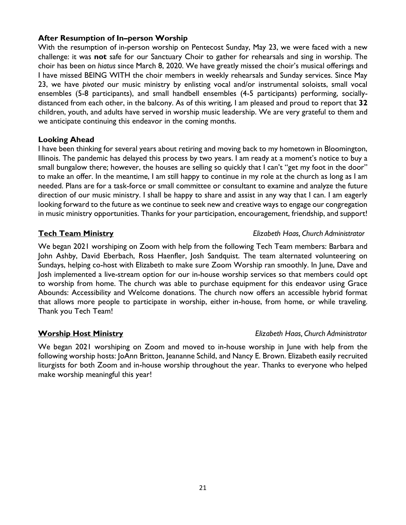### **After Resumption of In–person Worship**

With the resumption of in-person worship on Pentecost Sunday, May 23, we were faced with a new challenge: it was **not** safe for our Sanctuary Choir to gather for rehearsals and sing in worship. The choir has been on *hiatus* since March 8, 2020. We have greatly missed the choir's musical offerings and I have missed BEING WITH the choir members in weekly rehearsals and Sunday services. Since May 23, we have *pivoted* our music ministry by enlisting vocal and/or instrumental soloists, small vocal ensembles (5-8 participants), and small handbell ensembles (4-5 participants) performing, sociallydistanced from each other, in the balcony. As of this writing, I am pleased and proud to report that **32**  children, youth, and adults have served in worship music leadership. We are very grateful to them and we anticipate continuing this endeavor in the coming months.

### **Looking Ahead**

I have been thinking for several years about retiring and moving back to my hometown in Bloomington, Illinois. The pandemic has delayed this process by two years. I am ready at a moment's notice to buy a small bungalow there; however, the houses are selling so quickly that I can't "get my foot in the door" to make an offer. In the meantime, I am still happy to continue in my role at the church as long as I am needed. Plans are for a task-force or small committee or consultant to examine and analyze the future direction of our music ministry. I shall be happy to share and assist in any way that I can. I am eagerly looking forward to the future as we continue to seek new and creative ways to engage our congregation in music ministry opportunities. Thanks for your participation, encouragement, friendship, and support!

We began 2021 worshiping on Zoom with help from the following Tech Team members: Barbara and John Ashby, David Eberbach, Ross Haenfler, Josh Sandquist. The team alternated volunteering on Sundays, helping co-host with Elizabeth to make sure Zoom Worship ran smoothly. In June, Dave and Josh implemented a live-stream option for our in-house worship services so that members could opt to worship from home. The church was able to purchase equipment for this endeavor using Grace Abounds: Accessibility and Welcome donations. The church now offers an accessible hybrid format that allows more people to participate in worship, either in-house, from home, or while traveling. Thank you Tech Team!

### **Worship Host Ministry** *Elizabeth Haas, Church Administrator*

We began 2021 worshiping on Zoom and moved to in-house worship in June with help from the following worship hosts: JoAnn Britton, Jeananne Schild, and Nancy E. Brown. Elizabeth easily recruited liturgists for both Zoom and in-house worship throughout the year. Thanks to everyone who helped make worship meaningful this year!

### **Tech Team Ministry** *Elizabeth Haas, Church Administrator*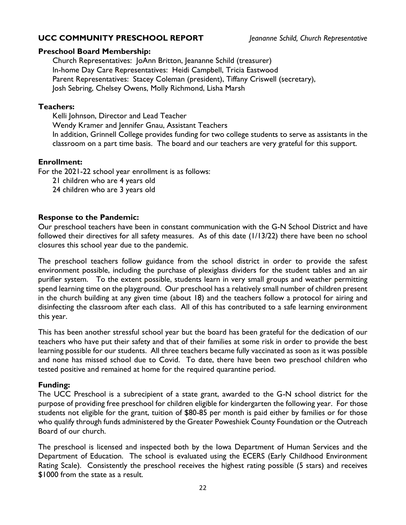### **UCC COMMUNITY PRESCHOOL REPORT** *Jeananne Schild, Church Representative*

### **Preschool Board Membership:**

Church Representatives: JoAnn Britton, Jeananne Schild (treasurer) In-home Day Care Representatives: Heidi Campbell, Tricia Eastwood Parent Representatives: Stacey Coleman (president), Tiffany Criswell (secretary), Josh Sebring, Chelsey Owens, Molly Richmond, Lisha Marsh

### **Teachers:**

Kelli Johnson, Director and Lead Teacher Wendy Kramer and Jennifer Gnau, Assistant Teachers In addition, Grinnell College provides funding for two college students to serve as assistants in the classroom on a part time basis. The board and our teachers are very grateful for this support.

### **Enrollment:**

For the 2021-22 school year enrollment is as follows:

- 21 children who are 4 years old
- 24 children who are 3 years old

### **Response to the Pandemic:**

Our preschool teachers have been in constant communication with the G-N School District and have followed their directives for all safety measures. As of this date (1/13/22) there have been no school closures this school year due to the pandemic.

The preschool teachers follow guidance from the school district in order to provide the safest environment possible, including the purchase of plexiglass dividers for the student tables and an air purifier system. To the extent possible, students learn in very small groups and weather permitting spend learning time on the playground. Our preschool has a relatively small number of children present in the church building at any given time (about 18) and the teachers follow a protocol for airing and disinfecting the classroom after each class. All of this has contributed to a safe learning environment this year.

This has been another stressful school year but the board has been grateful for the dedication of our teachers who have put their safety and that of their families at some risk in order to provide the best learning possible for our students. All three teachers became fully vaccinated as soon as it was possible and none has missed school due to Covid. To date, there have been two preschool children who tested positive and remained at home for the required quarantine period.

### **Funding:**

The UCC Preschool is a subrecipient of a state grant, awarded to the G-N school district for the purpose of providing free preschool for children eligible for kindergarten the following year. For those students not eligible for the grant, tuition of \$80-85 per month is paid either by families or for those who qualify through funds administered by the Greater Poweshiek County Foundation or the Outreach Board of our church.

The preschool is licensed and inspected both by the Iowa Department of Human Services and the Department of Education. The school is evaluated using the ECERS (Early Childhood Environment Rating Scale). Consistently the preschool receives the highest rating possible (5 stars) and receives \$1000 from the state as a result.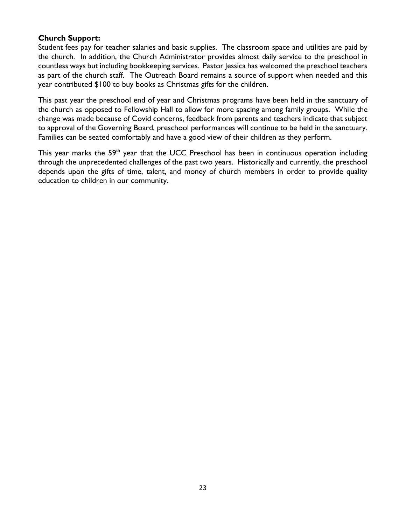### **Church Support:**

Student fees pay for teacher salaries and basic supplies. The classroom space and utilities are paid by the church. In addition, the Church Administrator provides almost daily service to the preschool in countless ways but including bookkeeping services. Pastor Jessica has welcomed the preschool teachers as part of the church staff. The Outreach Board remains a source of support when needed and this year contributed \$100 to buy books as Christmas gifts for the children.

This past year the preschool end of year and Christmas programs have been held in the sanctuary of the church as opposed to Fellowship Hall to allow for more spacing among family groups. While the change was made because of Covid concerns, feedback from parents and teachers indicate that subject to approval of the Governing Board, preschool performances will continue to be held in the sanctuary. Families can be seated comfortably and have a good view of their children as they perform.

This year marks the 59<sup>th</sup> year that the UCC Preschool has been in continuous operation including through the unprecedented challenges of the past two years. Historically and currently, the preschool depends upon the gifts of time, talent, and money of church members in order to provide quality education to children in our community.